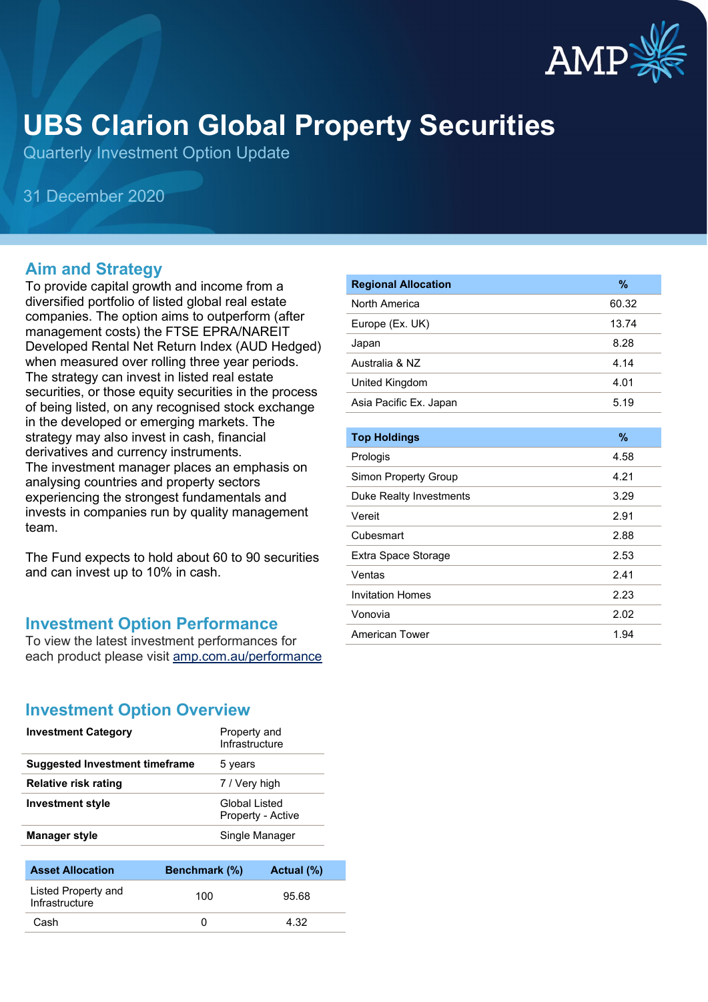

# **UBS Clarion Global Property Securities**

Quarterly Investment Option Update

31 December 2020

#### **Aim and Strategy**

To provide capital growth and income from a diversified portfolio of listed global real estate companies. The option aims to outperform (after management costs) the FTSE EPRA/NAREIT Developed Rental Net Return Index (AUD Hedged) when measured over rolling three year periods. The strategy can invest in listed real estate securities, or those equity securities in the process of being listed, on any recognised stock exchange in the developed or emerging markets. The strategy may also invest in cash, financial derivatives and currency instruments. The investment manager places an emphasis on analysing countries and property sectors experiencing the strongest fundamentals and invests in companies run by quality management team.

The Fund expects to hold about 60 to 90 securities and can invest up to 10% in cash.

#### **Investment Option Performance**

To view the latest investment performances for each product please visit [amp.com.au/performance](https://www.amp.com.au/performance)

| <b>Regional Allocation</b> | %     |
|----------------------------|-------|
| North America              | 60.32 |
| Europe (Ex. UK)            | 13.74 |
| Japan                      | 8.28  |
| Australia & NZ             | 4.14  |
| United Kingdom             | 4.01  |
| Asia Pacific Ex. Japan     | 5.19  |
|                            |       |
| <b>Top Holdings</b>        | $\%$  |
| Prologis                   | 4.58  |
| Simon Property Group       | 4.21  |
| Duke Realty Investments    | 3.29  |
| Vereit                     | 2.91  |
| Cubesmart                  | 2.88  |
| Extra Space Storage        | 2.53  |
| Ventas                     | 2.41  |
| <b>Invitation Homes</b>    | 2.23  |
| Vonovia                    | 2.02  |
| American Tower             | 1.94  |

### **Investment Option Overview**

| <b>Investment Category</b>            | Property and<br>Infrastructure            |  |
|---------------------------------------|-------------------------------------------|--|
| <b>Suggested Investment timeframe</b> | 5 years                                   |  |
| Relative risk rating                  | 7 / Very high                             |  |
| <b>Investment style</b>               | <b>Global Listed</b><br>Property - Active |  |
| <b>Manager style</b>                  | Single Manager                            |  |
|                                       |                                           |  |

| <b>Asset Allocation</b>               | Benchmark (%) | Actual (%) |
|---------------------------------------|---------------|------------|
| Listed Property and<br>Infrastructure | 100           | 95.68      |
| Cash                                  |               | 4.32       |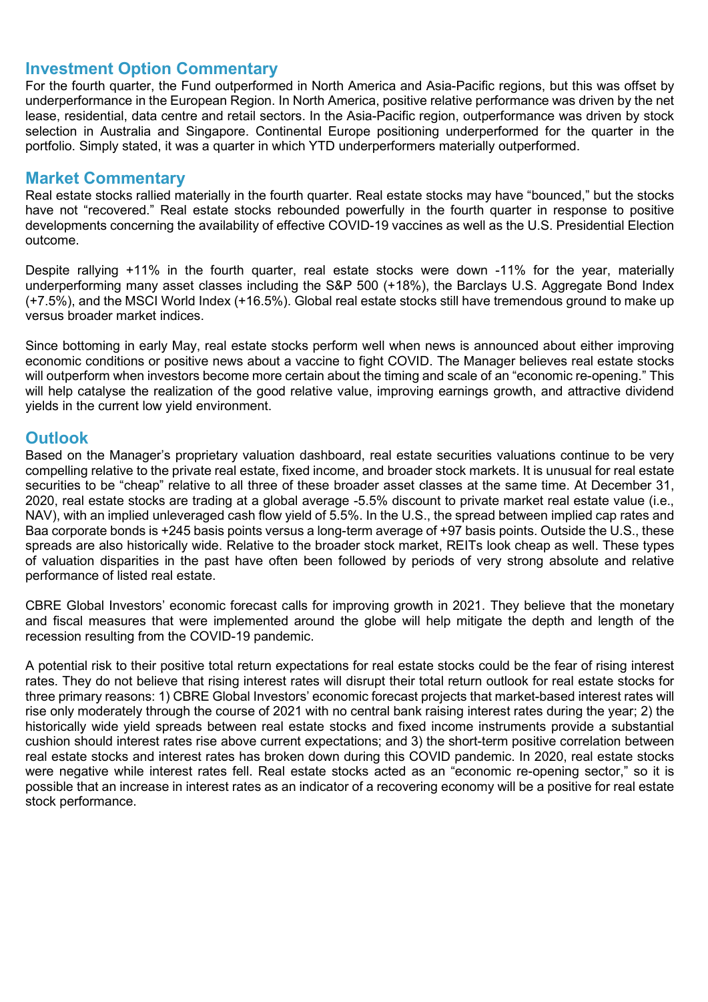#### **Investment Option Commentary**

For the fourth quarter, the Fund outperformed in North America and Asia-Pacific regions, but this was offset by underperformance in the European Region. In North America, positive relative performance was driven by the net lease, residential, data centre and retail sectors. In the Asia-Pacific region, outperformance was driven by stock selection in Australia and Singapore. Continental Europe positioning underperformed for the quarter in the portfolio. Simply stated, it was a quarter in which YTD underperformers materially outperformed.

#### **Market Commentary**

Real estate stocks rallied materially in the fourth quarter. Real estate stocks may have "bounced," but the stocks have not "recovered." Real estate stocks rebounded powerfully in the fourth quarter in response to positive developments concerning the availability of effective COVID-19 vaccines as well as the U.S. Presidential Election outcome.

Despite rallying +11% in the fourth quarter, real estate stocks were down -11% for the year, materially underperforming many asset classes including the S&P 500 (+18%), the Barclays U.S. Aggregate Bond Index (+7.5%), and the MSCI World Index (+16.5%). Global real estate stocks still have tremendous ground to make up versus broader market indices.

Since bottoming in early May, real estate stocks perform well when news is announced about either improving economic conditions or positive news about a vaccine to fight COVID. The Manager believes real estate stocks will outperform when investors become more certain about the timing and scale of an "economic re-opening." This will help catalyse the realization of the good relative value, improving earnings growth, and attractive dividend yields in the current low yield environment.

#### **Outlook**

Based on the Manager's proprietary valuation dashboard, real estate securities valuations continue to be very compelling relative to the private real estate, fixed income, and broader stock markets. It is unusual for real estate securities to be "cheap" relative to all three of these broader asset classes at the same time. At December 31, 2020, real estate stocks are trading at a global average -5.5% discount to private market real estate value (i.e., NAV), with an implied unleveraged cash flow yield of 5.5%. In the U.S., the spread between implied cap rates and Baa corporate bonds is +245 basis points versus a long-term average of +97 basis points. Outside the U.S., these spreads are also historically wide. Relative to the broader stock market, REITs look cheap as well. These types of valuation disparities in the past have often been followed by periods of very strong absolute and relative performance of listed real estate.

CBRE Global Investors' economic forecast calls for improving growth in 2021. They believe that the monetary and fiscal measures that were implemented around the globe will help mitigate the depth and length of the recession resulting from the COVID-19 pandemic.

A potential risk to their positive total return expectations for real estate stocks could be the fear of rising interest rates. They do not believe that rising interest rates will disrupt their total return outlook for real estate stocks for three primary reasons: 1) CBRE Global Investors' economic forecast projects that market-based interest rates will rise only moderately through the course of 2021 with no central bank raising interest rates during the year; 2) the historically wide yield spreads between real estate stocks and fixed income instruments provide a substantial cushion should interest rates rise above current expectations; and 3) the short-term positive correlation between real estate stocks and interest rates has broken down during this COVID pandemic. In 2020, real estate stocks were negative while interest rates fell. Real estate stocks acted as an "economic re-opening sector," so it is possible that an increase in interest rates as an indicator of a recovering economy will be a positive for real estate stock performance.